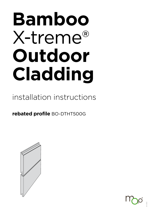# **Bamboo** X-treme® **Outdoor Cladding**

# installation instructions

**rebated profile** BO-DTHT500G





2021-01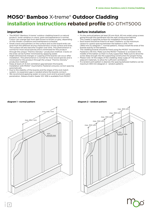# **MOSO® Bamboo** X-treme® **Outdoor Cladding installation instructions rebated profile** BO-DTHT500G

# **important**

- The MOSO® Bamboo X-treme® outdoor cladding board is a natural product, some variation in colour, grain and appearance is normal. Colour can change fast from dark brown to brown or grey, depending on the climatic conditions and maintenance schedule.
- Small cracks and splinters on the surface and on the board ends can arise from the different drying characteristics of the surface and ends. The surface will also become rougher over time. This phenomenon is normal for most wood species and is minimized for this product through the unique 'Thermo-Density®' production method. Cracks on the ends can be further minimized by applying sealer.
- Slight dimensional changes or cupping of the boards can occur after installation. This phenomenon is normal for most wood species and is minimized for this product through the unique 'Thermo-Density® production method.
- Keep at least a 5-6 mm ventilation gap between the boards. Installation with MOSO® Asymmetric Fasteners ensures correct spacing automatically.
- Due to the stability of the boards and the shape of the end-match system, no expansion gap is needed where the boards connect.
- We recommend applying sealer on every (cut) end to prevent water penetration. Sikkens Kodrin Sealer WV 456 is available from MOSO®.

# **before installation**

- Fix the vertical battens (at least 20 mm thick, 60 mm wide) using screws going through the membrane into the wall construction behind. This creates a rigid/flat surface for installation of the boards.
- Each board should be fixed to at least 3 battens: so the maximum centre-to-centre spacing between the battens is 616.7 mm (1850 mm/3) (diagram 1 - normal pattern). Always install the ends of the boards exactly on the battens.
- The cladding boards should be fixed using the MOSO® Asymmetric Fasteners (18 mm). Make sure the MOSO® Fastener is screwed in the middle of the batten so that it is fully supported. Make sure to drive the screw deep enough into the supporting construction for proper fixing.
- Please note: At the edges of the cladding, keep a gap of 7-10 mm from adjacent materials, to allow for sufficient ventilation.
- If a random joint pattern is desired, the spacing between battens can be maximum 300 mm (diagram 2 - random pattern).



# **diagram 1 - normal pattern diagram 2 - random pattern**



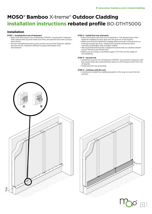# **MOSO® Bamboo** X-treme® **Outdoor Cladding installation instructions rebated profile** BO-DTHT500G

# **installation**

## **STEP 1 - levelling first row of fasteners**

- Start with the lowest row of fasteners (MOSO® Asymmetric Fastener with waved side up) and make sure they are placed fully level (using a spirit level).
- Avoid overtightening the screws as this can pull the fastener slightly into the wood, making it difficult to place the board onto the fastener.

## **STEP 2 - install first row of boards**

- Place the board onto the row of fasteners. The waved side of the fastener enables an easy grip into the groove of the board.
- Make sure that the fasteners engage deep enough in the groove so that the boards lay level. Tapping the boards should be done carefully, preferably with a rubber mallet.
- We recommend fixing the 2 adjacent board ends on a batten/beam using 1 fastener per board end.
- Make sure you keep a ventilation gap (7-10 mm) on the edge of the cladding.

## **STEP 3 - second row**

- Install the second row of fasteners (MOSO® Asymmetric Fastener with the waved side up), pushing them down on the tongue of the first row of boards.
- Install second row of boards.

## **STEP 4 - continue with the rest**

• Continue to install the cladding boards in this way to cover the full surface.





2021-01

3